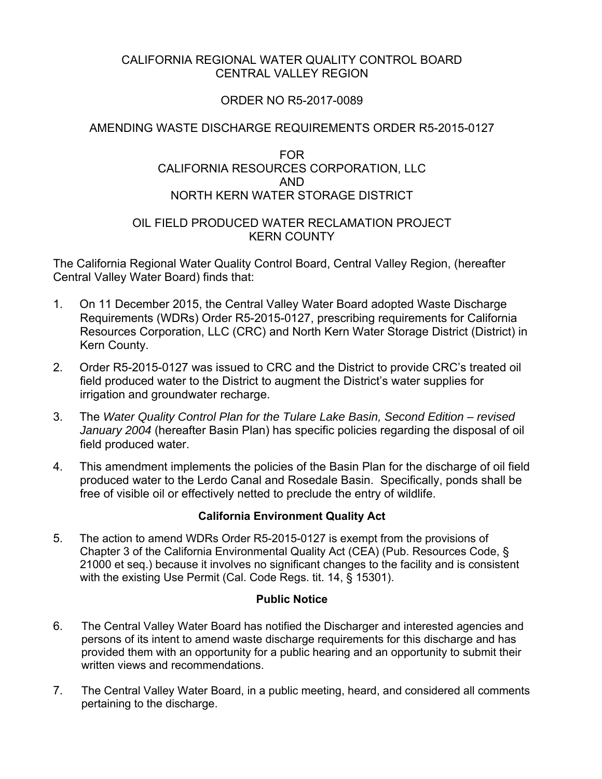# CALIFORNIA REGIONAL WATER QUALITY CONTROL BOARD CENTRAL VALLEY REGION

# ORDER NO R5-2017-0089

# AMENDING WASTE DISCHARGE REQUIREMENTS ORDER R5-2015-0127

### FOR CALIFORNIA RESOURCES CORPORATION, LLC AND NORTH KERN WATER STORAGE DISTRICT

### OIL FIELD PRODUCED WATER RECLAMATION PROJECT KERN COUNTY

The California Regional Water Quality Control Board, Central Valley Region, (hereafter Central Valley Water Board) finds that:

- 1. On 11 December 2015, the Central Valley Water Board adopted Waste Discharge Requirements (WDRs) Order R5-2015-0127, prescribing requirements for California Resources Corporation, LLC (CRC) and North Kern Water Storage District (District) in Kern County.
- 2. Order R5-2015-0127 was issued to CRC and the District to provide CRC's treated oil field produced water to the District to augment the District's water supplies for irrigation and groundwater recharge.
- 3. The *Water Quality Control Plan for the Tulare Lake Basin, Second Edition revised January 2004* (hereafter Basin Plan) has specific policies regarding the disposal of oil field produced water.
- 4. This amendment implements the policies of the Basin Plan for the discharge of oil field produced water to the Lerdo Canal and Rosedale Basin. Specifically, ponds shall be free of visible oil or effectively netted to preclude the entry of wildlife.

### **California Environment Quality Act**

5. The action to amend WDRs Order R5-2015-0127 is exempt from the provisions of Chapter 3 of the California Environmental Quality Act (CEA) (Pub. Resources Code, § 21000 et seq.) because it involves no significant changes to the facility and is consistent with the existing Use Permit (Cal. Code Regs. tit. 14, § 15301).

#### **Public Notice**

- 6. The Central Valley Water Board has notified the Discharger and interested agencies and persons of its intent to amend waste discharge requirements for this discharge and has provided them with an opportunity for a public hearing and an opportunity to submit their written views and recommendations.
- 7. The Central Valley Water Board, in a public meeting, heard, and considered all comments pertaining to the discharge.